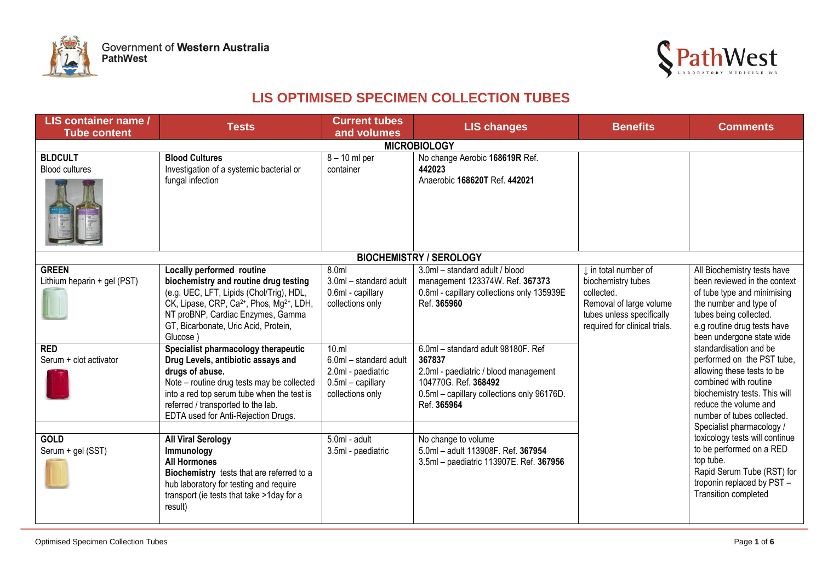



## **LIS OPTIMISED SPECIMEN COLLECTION TUBES**

| LIS container name /<br><b>Tube content</b>                                         | <b>Tests</b>                                                                                                                                                                                                                                                                                                                                                                                                                                                                                                                                           | <b>Current tubes</b><br>and volumes                                                                                                                                         | <b>LIS changes</b>                                                                                                                                                                                                                                                                                           | <b>Benefits</b>                                                                                                                                   | <b>Comments</b>                                                                                                                                                                                                                                                                                                                                                                                                                                                                                                                                                                       |
|-------------------------------------------------------------------------------------|--------------------------------------------------------------------------------------------------------------------------------------------------------------------------------------------------------------------------------------------------------------------------------------------------------------------------------------------------------------------------------------------------------------------------------------------------------------------------------------------------------------------------------------------------------|-----------------------------------------------------------------------------------------------------------------------------------------------------------------------------|--------------------------------------------------------------------------------------------------------------------------------------------------------------------------------------------------------------------------------------------------------------------------------------------------------------|---------------------------------------------------------------------------------------------------------------------------------------------------|---------------------------------------------------------------------------------------------------------------------------------------------------------------------------------------------------------------------------------------------------------------------------------------------------------------------------------------------------------------------------------------------------------------------------------------------------------------------------------------------------------------------------------------------------------------------------------------|
|                                                                                     |                                                                                                                                                                                                                                                                                                                                                                                                                                                                                                                                                        |                                                                                                                                                                             | <b>MICROBIOLOGY</b>                                                                                                                                                                                                                                                                                          |                                                                                                                                                   |                                                                                                                                                                                                                                                                                                                                                                                                                                                                                                                                                                                       |
| <b>BLDCULT</b><br><b>Blood cultures</b>                                             | <b>Blood Cultures</b><br>Investigation of a systemic bacterial or<br>fungal infection                                                                                                                                                                                                                                                                                                                                                                                                                                                                  | $8 - 10$ ml per<br>container                                                                                                                                                | No change Aerobic 168619R Ref.<br>442023<br>Anaerobic 168620T Ref. 442021                                                                                                                                                                                                                                    |                                                                                                                                                   |                                                                                                                                                                                                                                                                                                                                                                                                                                                                                                                                                                                       |
|                                                                                     |                                                                                                                                                                                                                                                                                                                                                                                                                                                                                                                                                        |                                                                                                                                                                             | <b>BIOCHEMISTRY / SEROLOGY</b>                                                                                                                                                                                                                                                                               |                                                                                                                                                   | All Biochemistry tests have                                                                                                                                                                                                                                                                                                                                                                                                                                                                                                                                                           |
| <b>GREEN</b><br>Lithium heparin + gel (PST)<br><b>RED</b><br>Serum + clot activator | Locally performed routine<br>biochemistry and routine drug testing<br>(e.g. UEC, LFT, Lipids (Chol/Trig), HDL,<br>CK, Lipase, CRP, Ca <sup>2+</sup> , Phos, Mg <sup>2+</sup> , LDH,<br>NT proBNP, Cardiac Enzymes, Gamma<br>GT, Bicarbonate, Uric Acid, Protein,<br>Glucose )<br>Specialist pharmacology therapeutic<br>Drug Levels, antibiotic assays and<br>drugs of abuse.<br>Note - routine drug tests may be collected<br>into a red top serum tube when the test is<br>referred / transported to the lab.<br>EDTA used for Anti-Rejection Drugs. | 8.0ml<br>3.0ml - standard adult<br>0.6ml - capillary<br>collections only<br>10.m<br>6.0ml - standard adult<br>2.0ml - paediatric<br>$0.5ml - capillary$<br>collections only | 3.0ml - standard adult / blood<br>management 123374W. Ref. 367373<br>0.6ml - capillary collections only 135939E<br>Ref. 365960<br>6.0ml - standard adult 98180F. Ref<br>367837<br>2.0ml - paediatric / blood management<br>104770G. Ref. 368492<br>0.5ml - capillary collections only 96176D.<br>Ref. 365964 | I in total number of<br>biochemistry tubes<br>collected.<br>Removal of large volume<br>tubes unless specifically<br>required for clinical trials. | been reviewed in the context<br>of tube type and minimising<br>the number and type of<br>tubes being collected.<br>e.g routine drug tests have<br>been undergone state wide<br>standardisation and be<br>performed on the PST tube,<br>allowing these tests to be<br>combined with routine<br>biochemistry tests. This will<br>reduce the volume and<br>number of tubes collected.<br>Specialist pharmacology /<br>toxicology tests will continue<br>to be performed on a RED<br>top tube.<br>Rapid Serum Tube (RST) for<br>troponin replaced by PST -<br><b>Transition completed</b> |
| <b>GOLD</b><br>Serum + gel (SST)                                                    | <b>All Viral Serology</b><br>Immunology<br><b>All Hormones</b><br>Biochemistry tests that are referred to a<br>hub laboratory for testing and require<br>transport (ie tests that take >1day for a<br>result)                                                                                                                                                                                                                                                                                                                                          | 5.0ml - adult<br>3.5ml - paediatric                                                                                                                                         | No change to volume<br>5.0ml - adult 113908F. Ref. 367954<br>3.5ml - paediatric 113907E. Ref. 367956                                                                                                                                                                                                         |                                                                                                                                                   |                                                                                                                                                                                                                                                                                                                                                                                                                                                                                                                                                                                       |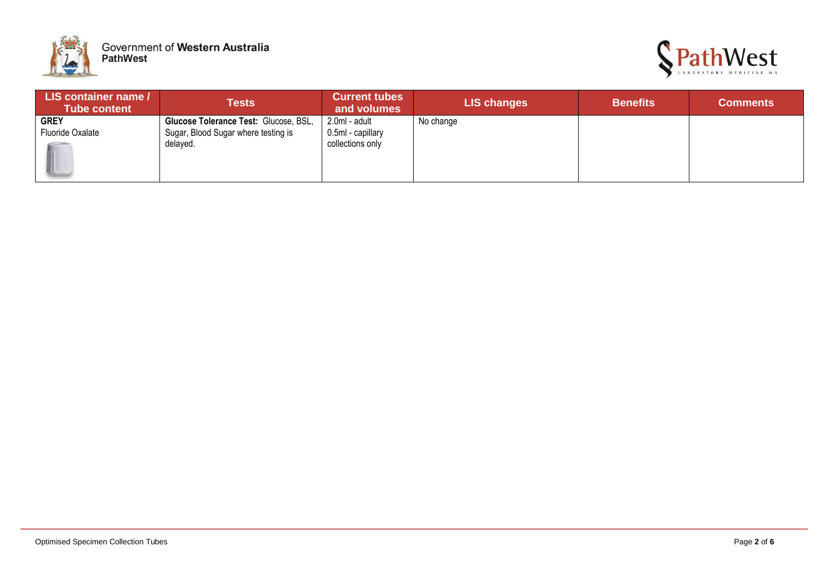



| LIS container name /<br><b>Tube content</b> | Tests                                 | <b>Current tubes</b><br>and volumes | <b>LIS changes</b> | <b>Benefits</b> | <b>Comments</b> |
|---------------------------------------------|---------------------------------------|-------------------------------------|--------------------|-----------------|-----------------|
| <b>GREY</b>                                 | Glucose Tolerance Test: Glucose, BSL, | 2.0ml - adult                       | No change          |                 |                 |
| Fluoride Oxalate                            | Sugar, Blood Sugar where testing is   | 0.5ml - capillary                   |                    |                 |                 |
|                                             | delayed.                              | collections only                    |                    |                 |                 |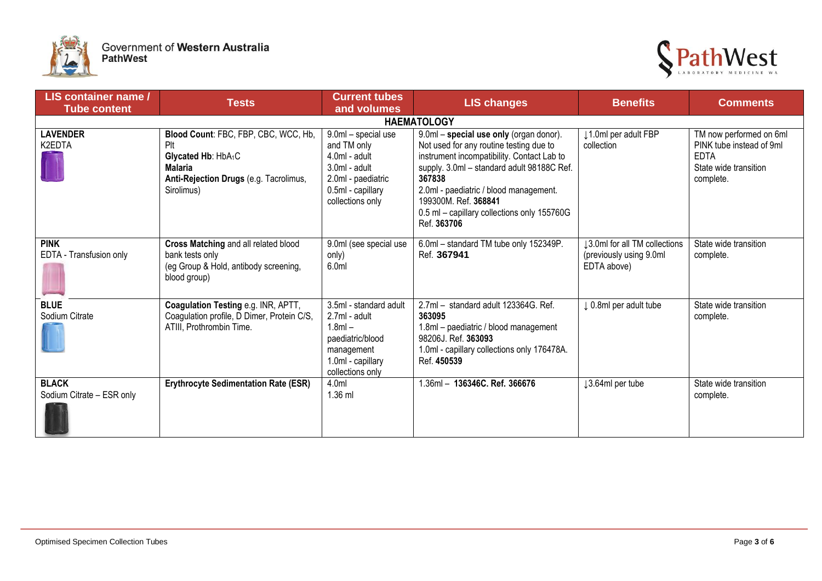



| LIS container name /<br><b>Tube content</b> | <b>Tests</b>                                                                                                                                             | <b>Current tubes</b><br>and volumes                                                                                                   | <b>LIS changes</b>                                                                                                                                                                                                                                                                                                       | <b>Benefits</b>                                                         | <b>Comments</b>                                                                                          |
|---------------------------------------------|----------------------------------------------------------------------------------------------------------------------------------------------------------|---------------------------------------------------------------------------------------------------------------------------------------|--------------------------------------------------------------------------------------------------------------------------------------------------------------------------------------------------------------------------------------------------------------------------------------------------------------------------|-------------------------------------------------------------------------|----------------------------------------------------------------------------------------------------------|
|                                             |                                                                                                                                                          |                                                                                                                                       | <b>HAEMATOLOGY</b>                                                                                                                                                                                                                                                                                                       |                                                                         |                                                                                                          |
| <b>LAVENDER</b><br>K2EDTA                   | Blood Count: FBC, FBP, CBC, WCC, Hb,<br>Plt<br>Glycated Hb: HbA <sub>1</sub> C<br><b>Malaria</b><br>Anti-Rejection Drugs (e.g. Tacrolimus,<br>Sirolimus) | 9.0ml - special use<br>and TM only<br>4.0ml - adult<br>$3.0ml$ - adult<br>2.0ml - paediatric<br>0.5ml - capillary<br>collections only | 9.0ml - special use only (organ donor).<br>Not used for any routine testing due to<br>instrument incompatibility. Contact Lab to<br>supply. 3.0ml - standard adult 98188C Ref.<br>367838<br>2.0ml - paediatric / blood management.<br>199300M. Ref. 368841<br>0.5 ml - capillary collections only 155760G<br>Ref. 363706 | ↓1.0ml per adult FBP<br>collection                                      | TM now performed on 6ml<br>PINK tube instead of 9ml<br><b>EDTA</b><br>State wide transition<br>complete. |
| <b>PINK</b><br>EDTA - Transfusion only      | Cross Matching and all related blood<br>bank tests only<br>(eg Group & Hold, antibody screening,<br>blood group)                                         | 9.0ml (see special use<br>only)<br>6.0ml                                                                                              | 6.0ml - standard TM tube only 152349P.<br>Ref. 367941                                                                                                                                                                                                                                                                    | 13.0ml for all TM collections<br>(previously using 9.0ml<br>EDTA above) | State wide transition<br>complete.                                                                       |
| <b>BLUE</b><br>Sodium Citrate               | Coagulation Testing e.g. INR, APTT,<br>Coagulation profile, D Dimer, Protein C/S,<br>ATIII, Prothrombin Time.                                            | 3.5ml - standard adult<br>2.7ml - adult<br>$1.8ml -$<br>paediatric/blood<br>management<br>1.0ml - capillary<br>collections only       | 2.7ml - standard adult 123364G. Ref.<br>363095<br>1.8ml - paediatric / blood management<br>98206J. Ref. 363093<br>1.0ml - capillary collections only 176478A.<br>Ref. 450539                                                                                                                                             | J 0.8ml per adult tube                                                  | State wide transition<br>complete.                                                                       |
| <b>BLACK</b><br>Sodium Citrate - ESR only   | <b>Erythrocyte Sedimentation Rate (ESR)</b>                                                                                                              | 4.0ml<br>1.36 ml                                                                                                                      | 1.36ml - 136346C. Ref. 366676                                                                                                                                                                                                                                                                                            | 13.64ml per tube                                                        | State wide transition<br>complete.                                                                       |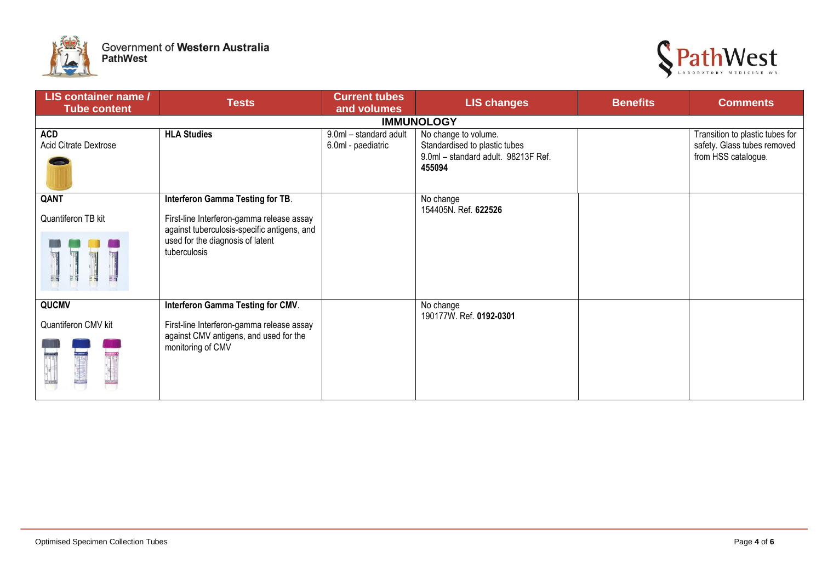



| LIS container name /<br><b>Tube content</b> | <b>Tests</b>                                                                                                                                 | <b>Current tubes</b><br>and volumes          | <b>LIS changes</b>                                                                                     | <b>Benefits</b> | <b>Comments</b>                                                                       |  |  |
|---------------------------------------------|----------------------------------------------------------------------------------------------------------------------------------------------|----------------------------------------------|--------------------------------------------------------------------------------------------------------|-----------------|---------------------------------------------------------------------------------------|--|--|
| <b>IMMUNOLOGY</b>                           |                                                                                                                                              |                                              |                                                                                                        |                 |                                                                                       |  |  |
| <b>ACD</b><br>Acid Citrate Dextrose         | <b>HLA Studies</b>                                                                                                                           | 9.0ml - standard adult<br>6.0ml - paediatric | No change to volume.<br>Standardised to plastic tubes<br>9.0ml - standard adult. 98213F Ref.<br>455094 |                 | Transition to plastic tubes for<br>safety. Glass tubes removed<br>from HSS catalogue. |  |  |
| QANT                                        | Interferon Gamma Testing for TB.                                                                                                             |                                              | No change                                                                                              |                 |                                                                                       |  |  |
| Quantiferon TB kit<br>ธิ สิ                 | First-line Interferon-gamma release assay<br>against tuberculosis-specific antigens, and<br>used for the diagnosis of latent<br>tuberculosis |                                              | 154405N. Ref. 622526                                                                                   |                 |                                                                                       |  |  |
| QUCMV                                       | Interferon Gamma Testing for CMV.                                                                                                            |                                              | No change                                                                                              |                 |                                                                                       |  |  |
| Quantiferon CMV kit                         | First-line Interferon-gamma release assay<br>against CMV antigens, and used for the<br>monitoring of CMV                                     |                                              | 190177W. Ref. 0192-0301                                                                                |                 |                                                                                       |  |  |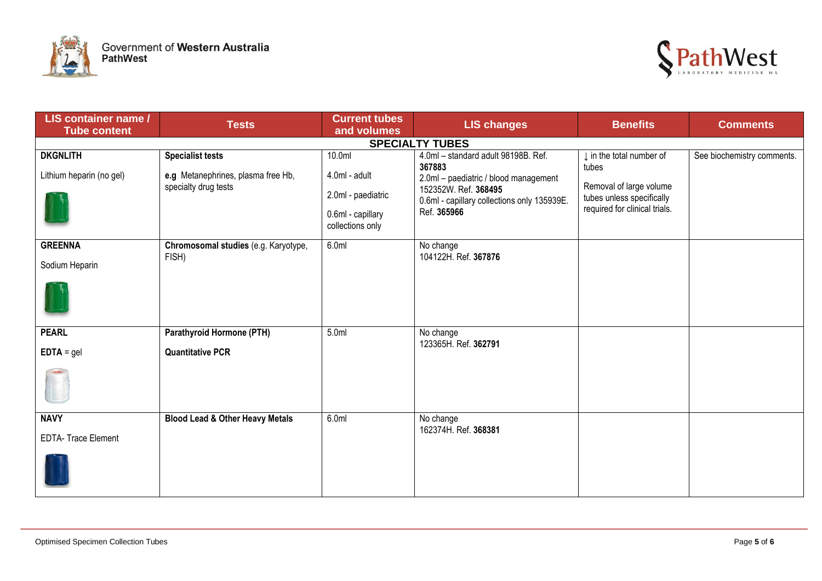



| LIS container name /<br><b>Tube content</b> | <b>Tests</b>                                                                          | <b>Current tubes</b><br>and volumes                                                               | <b>LIS changes</b>                                                                                                                                                           | <b>Benefits</b>                                                                                                            | <b>Comments</b>            |
|---------------------------------------------|---------------------------------------------------------------------------------------|---------------------------------------------------------------------------------------------------|------------------------------------------------------------------------------------------------------------------------------------------------------------------------------|----------------------------------------------------------------------------------------------------------------------------|----------------------------|
|                                             |                                                                                       |                                                                                                   | <b>SPECIALTY TUBES</b>                                                                                                                                                       |                                                                                                                            |                            |
| <b>DKGNLITH</b><br>Lithium heparin (no gel) | <b>Specialist tests</b><br>e.g Metanephrines, plasma free Hb,<br>specialty drug tests | 10.0 <sub>m</sub><br>4.0ml - adult<br>2.0ml - paediatric<br>0.6ml - capillary<br>collections only | 4.0ml - standard adult 98198B. Ref.<br>367883<br>2.0ml - paediatric / blood management<br>152352W. Ref. 368495<br>0.6ml - capillary collections only 135939E.<br>Ref. 365966 | I in the total number of<br>tubes<br>Removal of large volume<br>tubes unless specifically<br>required for clinical trials. | See biochemistry comments. |
| <b>GREENNA</b><br>Sodium Heparin            | Chromosomal studies (e.g. Karyotype,<br>FISH)                                         | 6.0ml                                                                                             | No change<br>104122H. Ref. 367876                                                                                                                                            |                                                                                                                            |                            |
| <b>PEARL</b><br>$EDTA = gel$                | Parathyroid Hormone (PTH)<br><b>Quantitative PCR</b>                                  | 5.0ml                                                                                             | No change<br>123365H. Ref. 362791                                                                                                                                            |                                                                                                                            |                            |
| <b>NAVY</b><br><b>EDTA- Trace Element</b>   | <b>Blood Lead &amp; Other Heavy Metals</b>                                            | 6.0ml                                                                                             | No change<br>162374H. Ref. 368381                                                                                                                                            |                                                                                                                            |                            |